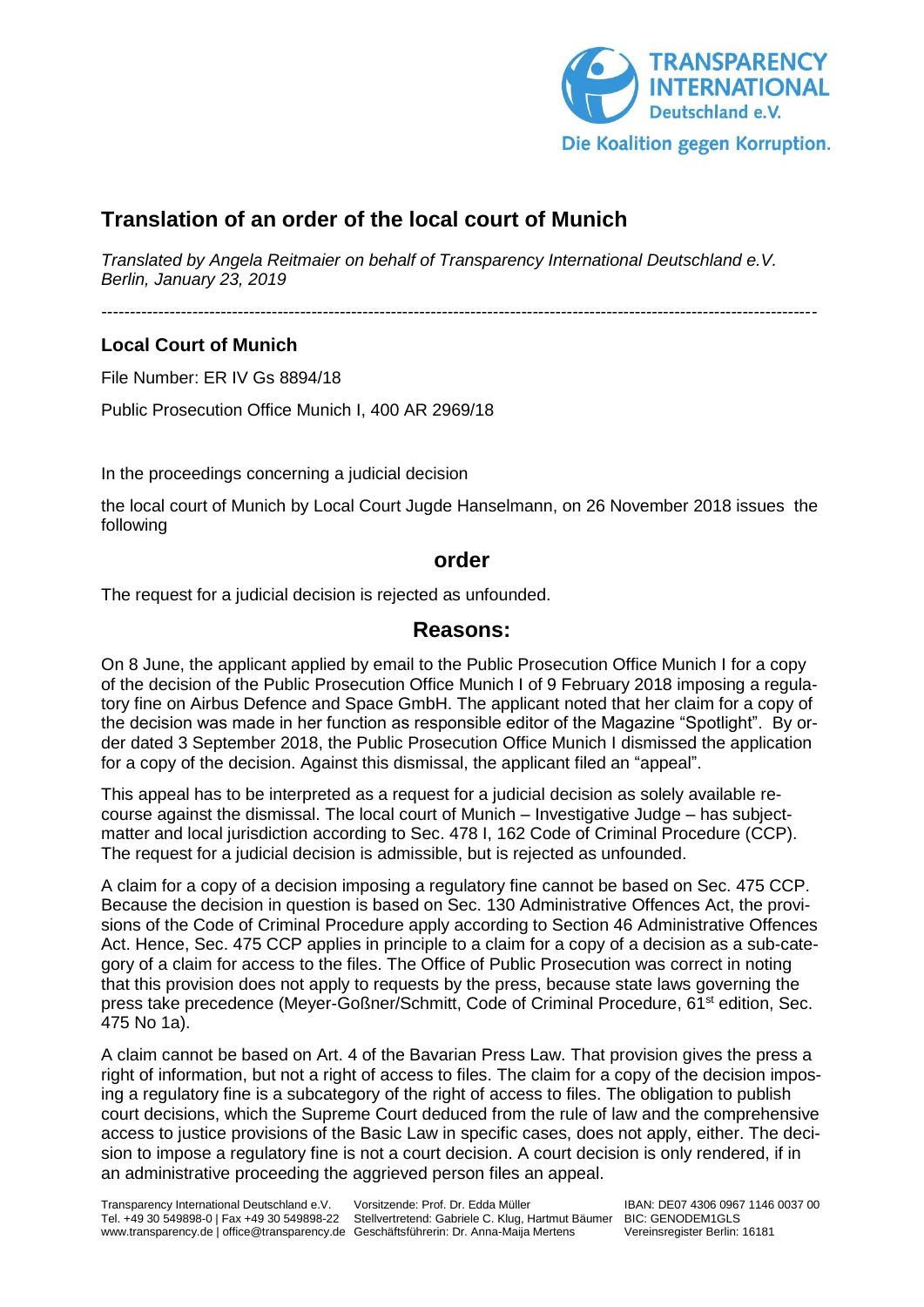

## **Translation of an order of the local court of Munich**

*Translated by Angela Reitmaier on behalf of Transparency International Deutschland e.V. Berlin, January 23, 2019*

*------------------------------------------------------------------------------------------------------------------------------*

## **Local Court of Munich**

File Number: ER IV Gs 8894/18

Public Prosecution Office Munich I, 400 AR 2969/18

In the proceedings concerning a judicial decision

the local court of Munich by Local Court Jugde Hanselmann, on 26 November 2018 issues the following

## **order**

The request for a judicial decision is rejected as unfounded.

## **Reasons:**

On 8 June, the applicant applied by email to the Public Prosecution Office Munich I for a copy of the decision of the Public Prosecution Office Munich I of 9 February 2018 imposing a regulatory fine on Airbus Defence and Space GmbH. The applicant noted that her claim for a copy of the decision was made in her function as responsible editor of the Magazine "Spotlight". By order dated 3 September 2018, the Public Prosecution Office Munich I dismissed the application for a copy of the decision. Against this dismissal, the applicant filed an "appeal".

This appeal has to be interpreted as a request for a judicial decision as solely available recourse against the dismissal. The local court of Munich – Investigative Judge – has subjectmatter and local jurisdiction according to Sec. 478 I, 162 Code of Criminal Procedure (CCP). The request for a judicial decision is admissible, but is rejected as unfounded.

A claim for a copy of a decision imposing a regulatory fine cannot be based on Sec. 475 CCP. Because the decision in question is based on Sec. 130 Administrative Offences Act, the provisions of the Code of Criminal Procedure apply according to Section 46 Administrative Offences Act. Hence, Sec. 475 CCP applies in principle to a claim for a copy of a decision as a sub-category of a claim for access to the files. The Office of Public Prosecution was correct in noting that this provision does not apply to requests by the press, because state laws governing the press take precedence (Meyer-Goßner/Schmitt, Code of Criminal Procedure, 61<sup>st</sup> edition, Sec. 475 No 1a).

A claim cannot be based on Art. 4 of the Bavarian Press Law. That provision gives the press a right of information, but not a right of access to files. The claim for a copy of the decision imposing a regulatory fine is a subcategory of the right of access to files. The obligation to publish court decisions, which the Supreme Court deduced from the rule of law and the comprehensive access to justice provisions of the Basic Law in specific cases, does not apply, either. The decision to impose a regulatory fine is not a court decision. A court decision is only rendered, if in an administrative proceeding the aggrieved person files an appeal.